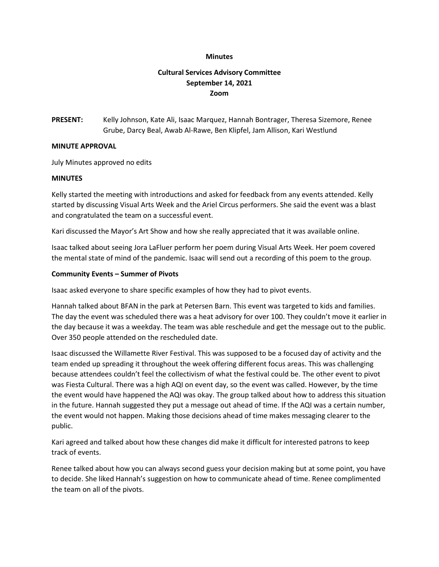#### **Minutes**

# **Cultural Services Advisory Committee September 14, 2021 Zoom**

**PRESENT:** Kelly Johnson, Kate Ali, Isaac Marquez, Hannah Bontrager, Theresa Sizemore, Renee Grube, Darcy Beal, Awab Al-Rawe, Ben Klipfel, Jam Allison, Kari Westlund

#### **MINUTE APPROVAL**

July Minutes approved no edits

#### **MINUTES**

Kelly started the meeting with introductions and asked for feedback from any events attended. Kelly started by discussing Visual Arts Week and the Ariel Circus performers. She said the event was a blast and congratulated the team on a successful event.

Kari discussed the Mayor's Art Show and how she really appreciated that it was available online.

Isaac talked about seeing Jora LaFluer perform her poem during Visual Arts Week. Her poem covered the mental state of mind of the pandemic. Isaac will send out a recording of this poem to the group.

#### **Community Events – Summer of Pivots**

Isaac asked everyone to share specific examples of how they had to pivot events.

Hannah talked about BFAN in the park at Petersen Barn. This event was targeted to kids and families. The day the event was scheduled there was a heat advisory for over 100. They couldn't move it earlier in the day because it was a weekday. The team was able reschedule and get the message out to the public. Over 350 people attended on the rescheduled date.

Isaac discussed the Willamette River Festival. This was supposed to be a focused day of activity and the team ended up spreading it throughout the week offering different focus areas. This was challenging because attendees couldn't feel the collectivism of what the festival could be. The other event to pivot was Fiesta Cultural. There was a high AQI on event day, so the event was called. However, by the time the event would have happened the AQI was okay. The group talked about how to address this situation in the future. Hannah suggested they put a message out ahead of time. If the AQI was a certain number, the event would not happen. Making those decisions ahead of time makes messaging clearer to the public.

Kari agreed and talked about how these changes did make it difficult for interested patrons to keep track of events.

Renee talked about how you can always second guess your decision making but at some point, you have to decide. She liked Hannah's suggestion on how to communicate ahead of time. Renee complimented the team on all of the pivots.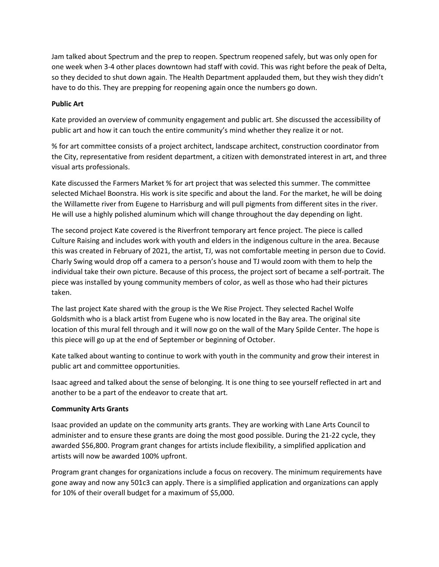Jam talked about Spectrum and the prep to reopen. Spectrum reopened safely, but was only open for one week when 3-4 other places downtown had staff with covid. This was right before the peak of Delta, so they decided to shut down again. The Health Department applauded them, but they wish they didn't have to do this. They are prepping for reopening again once the numbers go down.

# **Public Art**

Kate provided an overview of community engagement and public art. She discussed the accessibility of public art and how it can touch the entire community's mind whether they realize it or not.

% for art committee consists of a project architect, landscape architect, construction coordinator from the City, representative from resident department, a citizen with demonstrated interest in art, and three visual arts professionals.

Kate discussed the Farmers Market % for art project that was selected this summer. The committee selected Michael Boonstra. His work is site specific and about the land. For the market, he will be doing the Willamette river from Eugene to Harrisburg and will pull pigments from different sites in the river. He will use a highly polished aluminum which will change throughout the day depending on light.

The second project Kate covered is the Riverfront temporary art fence project. The piece is called Culture Raising and includes work with youth and elders in the indigenous culture in the area. Because this was created in February of 2021, the artist, TJ, was not comfortable meeting in person due to Covid. Charly Swing would drop off a camera to a person's house and TJ would zoom with them to help the individual take their own picture. Because of this process, the project sort of became a self-portrait. The piece was installed by young community members of color, as well as those who had their pictures taken.

The last project Kate shared with the group is the We Rise Project. They selected Rachel Wolfe Goldsmith who is a black artist from Eugene who is now located in the Bay area. The original site location of this mural fell through and it will now go on the wall of the Mary Spilde Center. The hope is this piece will go up at the end of September or beginning of October.

Kate talked about wanting to continue to work with youth in the community and grow their interest in public art and committee opportunities.

Isaac agreed and talked about the sense of belonging. It is one thing to see yourself reflected in art and another to be a part of the endeavor to create that art.

### **Community Arts Grants**

Isaac provided an update on the community arts grants. They are working with Lane Arts Council to administer and to ensure these grants are doing the most good possible. During the 21-22 cycle, they awarded \$56,800. Program grant changes for artists include flexibility, a simplified application and artists will now be awarded 100% upfront.

Program grant changes for organizations include a focus on recovery. The minimum requirements have gone away and now any 501c3 can apply. There is a simplified application and organizations can apply for 10% of their overall budget for a maximum of \$5,000.